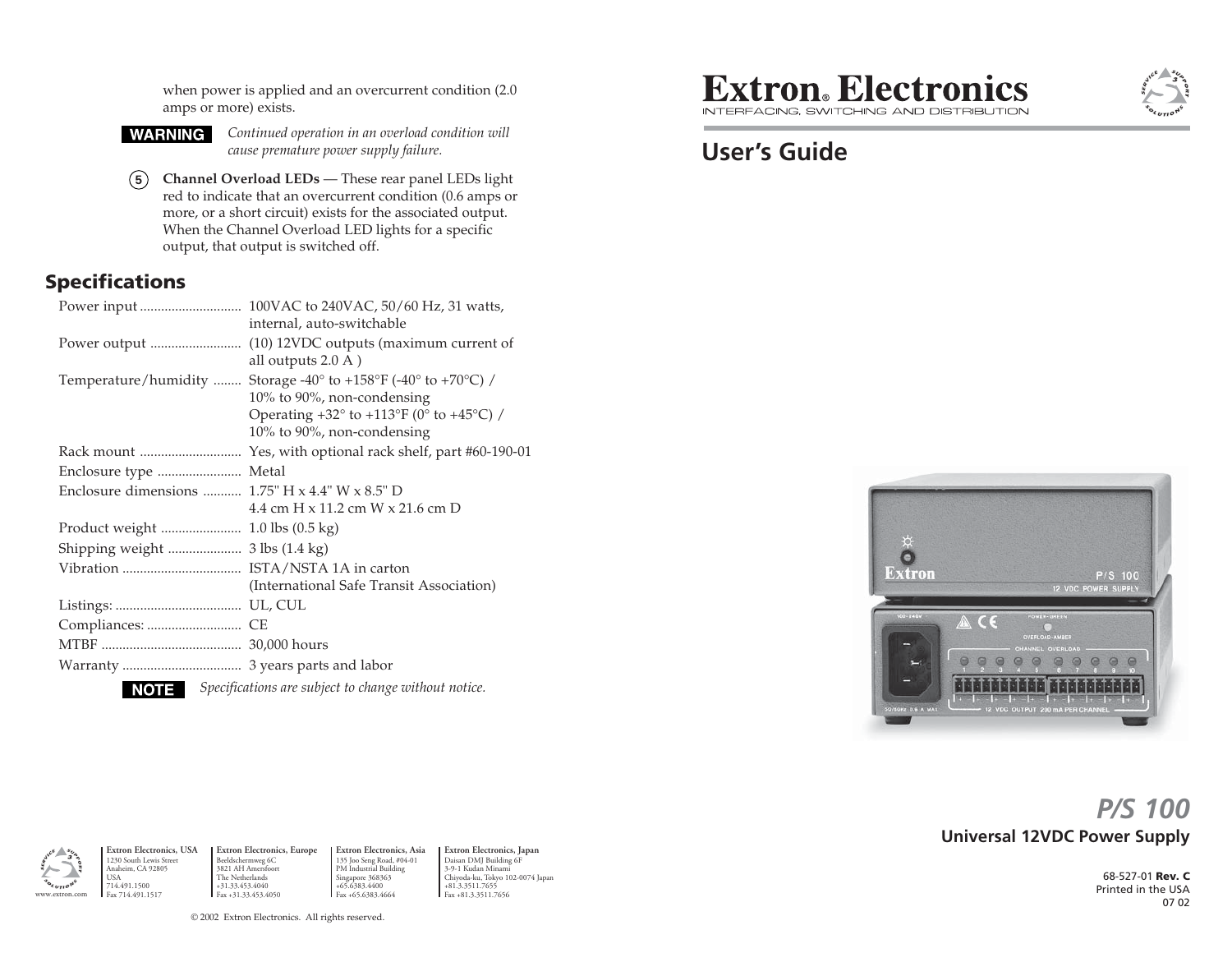when power is applied and an overcurrent condition (2.0 amps or more) exists.



*Continued operation in an overload condition will cause premature power supply failure.*

**5 Channel Overload LEDs** — These rear panel LEDs light red to indicate that an overcurrent condition (0.6 amps or more, or a short circuit) exists for the associated output. When the Channel Overload LED lights for a specific output, that output is switched off.

#### **Specifications**

|                                                                 | internal, auto-switchable                                                                                                                                                                          |
|-----------------------------------------------------------------|----------------------------------------------------------------------------------------------------------------------------------------------------------------------------------------------------|
|                                                                 | all outputs $2.0 A$ )                                                                                                                                                                              |
|                                                                 | Temperature/humidity  Storage -40° to +158°F (-40° to +70°C) /<br>10% to 90%, non-condensing<br>Operating $+32^{\circ}$ to $+113^{\circ}F$ (0° to $+45^{\circ}C$ ) /<br>10% to 90%, non-condensing |
|                                                                 |                                                                                                                                                                                                    |
| Enclosure type  Metal                                           |                                                                                                                                                                                                    |
| Enclosure dimensions $1.75$ " H $\times$ 4.4" W $\times$ 8.5" D |                                                                                                                                                                                                    |
|                                                                 | 4.4 cm H $\times$ 11.2 cm W $\times$ 21.6 cm D                                                                                                                                                     |
|                                                                 |                                                                                                                                                                                                    |
| Shipping weight  3 lbs (1.4 kg)                                 |                                                                                                                                                                                                    |
|                                                                 |                                                                                                                                                                                                    |
|                                                                 | (International Safe Transit Association)                                                                                                                                                           |
|                                                                 |                                                                                                                                                                                                    |
|                                                                 |                                                                                                                                                                                                    |
|                                                                 |                                                                                                                                                                                                    |
|                                                                 |                                                                                                                                                                                                    |
| NOTE I                                                          | Specifications are subject to change without notice.                                                                                                                                               |
|                                                                 |                                                                                                                                                                                                    |

# **Extron**. Electronics

INTEREACING SWITCHING AND DISTRIBLITION

## **User's Guide**



## **Universal 12VDC Power Supply** *P/S 100*

68-527-01 **Rev. C** Printed in the USA 07 02



**Extron Electronics, USA** 1230 South Lewis Street Anaheim, CA 92805 USA 714.491.1500 Fax 714.491.1517 Beeldschermweg 6C 3821 AH Amersfoort The Netherlands +31.33.453.4040 Fax +31.33.453.4050

**Extron Electronics, Europe Extron Electronics, Asia** 135 Joo Seng Road, #04-01 PM Industrial Building Singapore 368363 +65.6383.4400 Fax +65.6383.4664

**Extron Electronics, Japan** Daisan DMJ Building 6F 3-9-1 Kudan Minami Chiyoda-ku, Tokyo 102-0074 Japan +81.3.3511.7655 Fax +81.3.3511.7656

© 2002 Extron Electronics. All rights reserved.